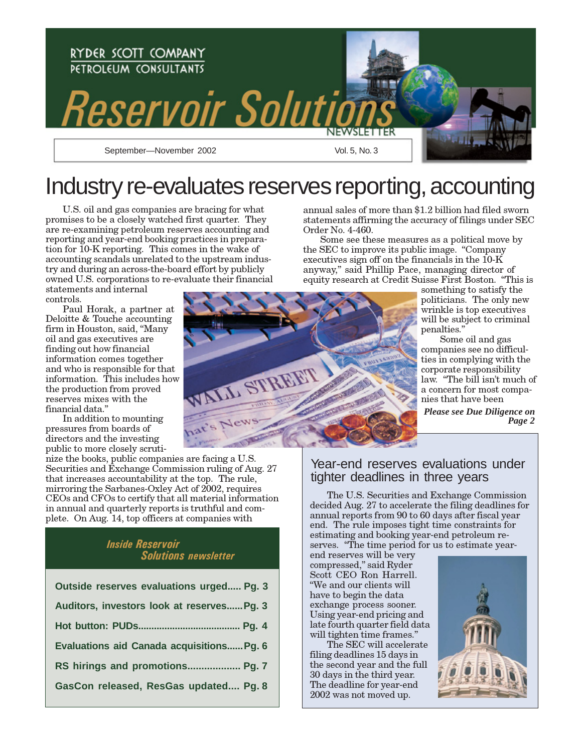

# Industry re-evaluates reserves reporting, accounting

U.S. oil and gas companies are bracing for what promises to be a closely watched first quarter. They are re-examining petroleum reserves accounting and reporting and year-end booking practices in preparation for 10-K reporting. This comes in the wake of accounting scandals unrelated to the upstream industry and during an across-the-board effort by publicly owned U.S. corporations to re-evaluate their financial

statements and internal controls.

Paul Horak, a partner at Deloitte & Touche accounting firm in Houston, said, "Many oil and gas executives are finding out how financial information comes together and who is responsible for that information. This includes how the production from proved reserves mixes with the financial data."

In addition to mounting pressures from boards of directors and the investing public to more closely scruti-

nize the books, public companies are facing a U.S. Securities and Exchange Commission ruling of Aug. 27 that increases accountability at the top. The rule, mirroring the Sarbanes-Oxley Act of 2002, requires CEOs and CFOs to certify that all material information in annual and quarterly reports is truthful and complete. On Aug. 14, top officers at companies with

### Inside Reservoir Solutions newsletter

| Outside reserves evaluations urged Pg. 3         |
|--------------------------------------------------|
| Auditors, investors look at reserves Pg. 3       |
|                                                  |
| <b>Evaluations aid Canada acquisitions Pg. 6</b> |
| RS hirings and promotions Pg. 7                  |
| GasCon released, ResGas updated Pg. 8            |
|                                                  |

L STREET

annual sales of more than \$1.2 billion had filed sworn statements affirming the accuracy of filings under SEC Order No. 4-460.

Some see these measures as a political move by the SEC to improve its public image. "Company executives sign off on the financials in the  $10\text{-}K$ anyway," said Phillip Pace, managing director of equity research at Credit Suisse First Boston. "This is

something to satisfy the politicians. The only new wrinkle is top executives will be subject to criminal penalties."

Some oil and gas companies see no difficulties in complying with the corporate responsibility law. "The bill isn't much of a concern for most companies that have been *Please see Due Diligence on*

*Page 2*

### Year-end reserves evaluations under tighter deadlines in three years

The U.S. Securities and Exchange Commission decided Aug. 27 to accelerate the filing deadlines for annual reports from 90 to 60 days after fiscal year end. The rule imposes tight time constraints for estimating and booking year-end petroleum reserves. "The time period for us to estimate year-

end reserves will be very compressed," said Ryder Scott CEO Ron Harrell. "We and our clients will have to begin the data exchange process sooner. Using year-end pricing and late fourth quarter field data will tighten time frames."

The SEC will accelerate filing deadlines 15 days in the second year and the full 30 days in the third year. The deadline for year-end 2002 was not moved up.



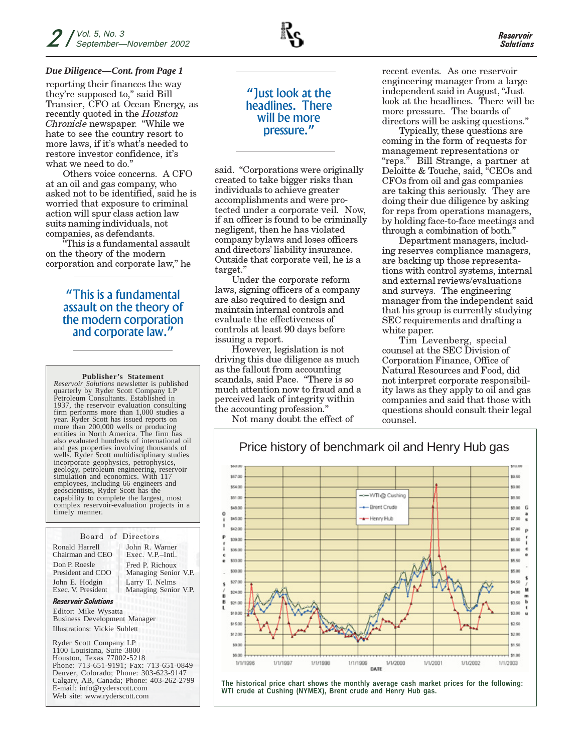#### *Due Diligence—Cont. from Page 1*

reporting their finances the way they're supposed to," said Bill Transier, CFO at Ocean Energy, as recently quoted in the Houston Chronicle newspaper. "While we hate to see the country resort to more laws, if it's what's needed to restore investor confidence, it's what we need to do."

Others voice concerns. A CFO at an oil and gas company, who asked not to be identified, said he is worried that exposure to criminal action will spur class action law suits naming individuals, not companies, as defendants.

"This is a fundamental assault on the theory of the modern corporation and corporate law," he

### "This is a fundamental assault on the theory of the modern corporation and corporate law."

**Publisher's Statement** *Reservoir Solutions* newsletter is published

quarterly by Ryder Scott Company LP Petroleum Consultants. Established in 1937, the reservoir evaluation consulting firm performs more than 1,000 studies a year. Ryder Scott has issued reports on more than 200,000 wells or producing entities in North America. The firm has also evaluated hundreds of international oil and gas properties involving thousands of wells. Ryder Scott multidisciplinary studies incorporate geophysics, petrophysics, geology, petroleum engineering, reservoir simulation and economics. With 117 employees, including 66 engineers and geoscientists, Ryder Scott has the capability to complete the largest, most complex reservoir-evaluation projects in a timely manner.

#### Board of Directors

Ronald Harrell Chairman and CEO Don P. Roesle President and COO John E. Hodgin Exec. V. President

Fred P. Richoux Managing Senior V.P. John R. Warner Exec. V.P.–Intl. Larry T. Nelms Managing Senior V.P.

#### Reservoir Solutions

Illustrations: Vickie Sublett Editor: Mike Wysatta Business Development Manager

Ryder Scott Company LP 1100 Louisiana, Suite 3800 Houston, Texas 77002-5218 Phone: 713-651-9191; Fax: 713-651-0849 Denver, Colorado; Phone: 303-623-9147 Calgary, AB, Canada; Phone: 403-262-2799 E-mail: info@ryderscott.com Web site: www.ryderscott.com

### "Just look at the headlines. There will be more pressure."

said. "Corporations were originally created to take bigger risks than individuals to achieve greater accomplishments and were protected under a corporate veil. Now, if an officer is found to be criminally negligent, then he has violated company bylaws and loses officers and directors' liability insurance. Outside that corporate veil, he is a target."

Under the corporate reform laws, signing officers of a company are also required to design and maintain internal controls and evaluate the effectiveness of controls at least 90 days before issuing a report.

However, legislation is not driving this due diligence as much as the fallout from accounting scandals, said Pace. "There is so much attention now to fraud and a perceived lack of integrity within the accounting profession."

Not many doubt the effect of

recent events. As one reservoir engineering manager from a large independent said in August, "Just look at the headlines. There will be more pressure. The boards of directors will be asking questions."

Typically, these questions are coming in the form of requests for management representations or "reps." Bill Strange, a partner at Deloitte & Touche, said, "CEOs and CFOs from oil and gas companies are taking this seriously. They are doing their due diligence by asking for reps from operations managers, by holding face-to-face meetings and through a combination of both."

Department managers, including reserves compliance managers, are backing up those representations with control systems, internal and external reviews/evaluations and surveys. The engineering manager from the independent said that his group is currently studying SEC requirements and drafting a white paper.

Tim Levenberg, special counsel at the SEC Division of Corporation Finance, Office of Natural Resources and Food, did not interpret corporate responsibility laws as they apply to oil and gas companies and said that those with questions should consult their legal counsel.



**The historical price chart shows the monthly average cash market prices for the following: WTI crude at Cushing (NYMEX), Brent crude and Henry Hub gas.**

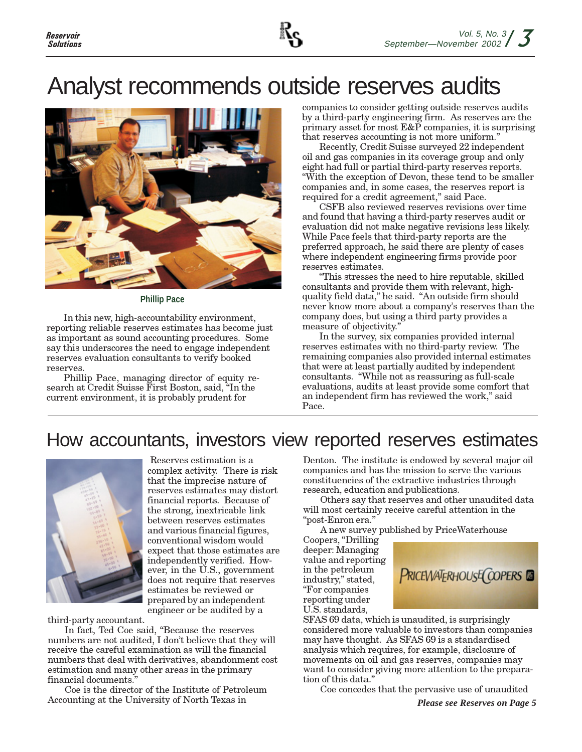# Analyst recommends outside reserves audits



**Phillip Pace**

In this new, high-accountability environment, reporting reliable reserves estimates has become just as important as sound accounting procedures. Some say this underscores the need to engage independent reserves evaluation consultants to verify booked reserves.

Phillip Pace, managing director of equity research at Credit Suisse First Boston, said, "In the current environment, it is probably prudent for

companies to consider getting outside reserves audits by a third-party engineering firm. As reserves are the primary asset for most E&P companies, it is surprising that reserves accounting is not more uniform."

Recently, Credit Suisse surveyed 22 independent oil and gas companies in its coverage group and only eight had full or partial third-party reserves reports. "With the exception of Devon, these tend to be smaller companies and, in some cases, the reserves report is required for a credit agreement," said Pace.

CSFB also reviewed reserves revisions over time and found that having a third-party reserves audit or evaluation did not make negative revisions less likely. While Pace feels that third-party reports are the preferred approach, he said there are plenty of cases where independent engineering firms provide poor reserves estimates.

"This stresses the need to hire reputable, skilled consultants and provide them with relevant, highquality field data," he said. "An outside firm should never know more about a company's reserves than the company does, but using a third party provides a measure of objectivity."

In the survey, six companies provided internal reserves estimates with no third-party review. The remaining companies also provided internal estimates that were at least partially audited by independent consultants. "While not as reassuring as full-scale evaluations, audits at least provide some comfort that an independent firm has reviewed the work," said Pace.

## How accountants, investors view reported reserves estimates



Reserves estimation is a complex activity. There is risk that the imprecise nature of reserves estimates may distort financial reports. Because of the strong, inextricable link between reserves estimates and various financial figures, conventional wisdom would expect that those estimates are independently verified. However, in the  $\check{U}$ .S., government does not require that reserves estimates be reviewed or prepared by an independent engineer or be audited by a

third-party accountant.

In fact, Ted Coe said, "Because the reserves numbers are not audited, I don't believe that they will receive the careful examination as will the financial numbers that deal with derivatives, abandonment cost estimation and many other areas in the primary financial documents."

Coe is the director of the Institute of Petroleum Accounting at the University of North Texas in

Denton. The institute is endowed by several major oil companies and has the mission to serve the various constituencies of the extractive industries through research, education and publications.

Others say that reserves and other unaudited data will most certainly receive careful attention in the "post-Enron era."

A new survey published by PriceWaterhouse

Coopers, "Drilling deeper: Managing value and reporting in the petroleum industry," stated, "For companies reporting under U.S. standards,



SFAS 69 data, which is unaudited, is surprisingly considered more valuable to investors than companies may have thought. As SFAS 69 is a standardised analysis which requires, for example, disclosure of movements on oil and gas reserves, companies may want to consider giving more attention to the preparation of this data."

Coe concedes that the pervasive use of unaudited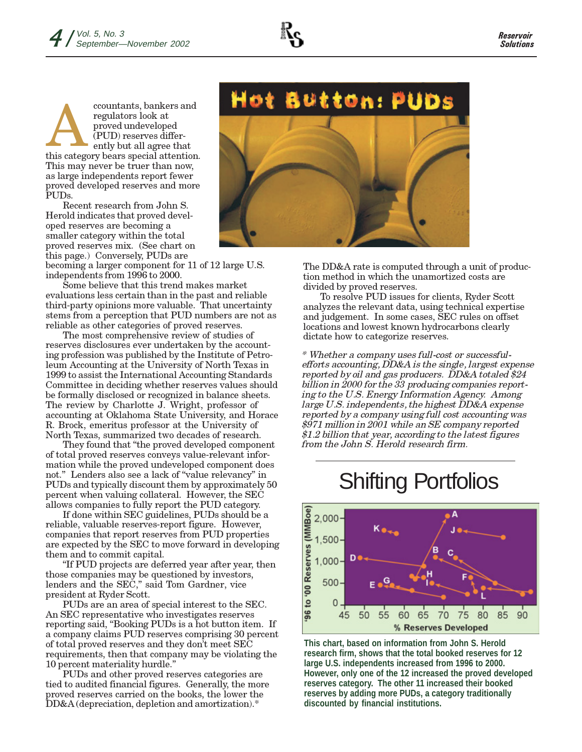

ccountants, bankers and regulators look at proved undeveloped (PUD) reserves differently but all agree that ccountants, bankers and<br>regulators look at<br>proved undeveloped<br>(PUD) reserves differently but all agree that<br>this category bears special attention. This may never be truer than now, as large independents report fewer proved developed reserves and more PUDs.

Recent research from John S. Herold indicates that proved developed reserves are becoming a smaller category within the total proved reserves mix. (See chart on this page.) Conversely, PUDs are

becoming a larger component for 11 of 12 large U.S. independents from 1996 to 2000.

Some believe that this trend makes market evaluations less certain than in the past and reliable third-party opinions more valuable. That uncertainty stems from a perception that PUD numbers are not as reliable as other categories of proved reserves.

The most comprehensive review of studies of reserves disclosures ever undertaken by the accounting profession was published by the Institute of Petroleum Accounting at the University of North Texas in 1999 to assist the International Accounting Standards Committee in deciding whether reserves values should be formally disclosed or recognized in balance sheets. The review by Charlotte J. Wright, professor of accounting at Oklahoma State University, and Horace R. Brock, emeritus professor at the University of North Texas, summarized two decades of research.

They found that "the proved developed component of total proved reserves conveys value-relevant information while the proved undeveloped component does not." Lenders also see a lack of "value relevancy" in PUDs and typically discount them by approximately 50 percent when valuing collateral. However, the SEC allows companies to fully report the PUD category.

If done within SEC guidelines, PUDs should be a reliable, valuable reserves-report figure. However, companies that report reserves from PUD properties are expected by the SEC to move forward in developing them and to commit capital.

"If PUD projects are deferred year after year, then those companies may be questioned by investors, lenders and the SEC," said Tom Gardner, vice president at Ryder Scott.

PUDs are an area of special interest to the SEC. An SEC representative who investigates reserves reporting said, "Booking PUDs is a hot button item. If a company claims PUD reserves comprising 30 percent of total proved reserves and they don't meet SEC requirements, then that company may be violating the 10 percent materiality hurdle."

PUDs and other proved reserves categories are tied to audited financial figures. Generally, the more proved reserves carried on the books, the lower the DD&A (depreciation, depletion and amortization).\*



The DD&A rate is computed through a unit of production method in which the unamortized costs are divided by proved reserves.

To resolve PUD issues for clients, Ryder Scott analyzes the relevant data, using technical expertise and judgement. In some cases, SEC rules on offset locations and lowest known hydrocarbons clearly dictate how to categorize reserves.

\* Whether a company uses full-cost or successfulefforts accounting, DD&A is the single, largest expense reported by oil and gas producers. DD&A totaled \$24 billion in 2000 for the 33 producing companies reporting to the U.S. Energy Information Agency. Among large U.S. independents, the highest DD&A expense reported by a company using full cost accounting was \$971 million in 2001 while an SE company reported \$1.2 billion that year, according to the latest figures from the John S. Herold research firm.

## Shifting Portfolios



**This chart, based on information from John S. Herold research firm, shows that the total booked reserves for 12 large U.S. independents increased from 1996 to 2000. However, only one of the 12 increased the proved developed reserves category. The other 11 increased their booked reserves by adding more PUDs, a category traditionally discounted by financial institutions.**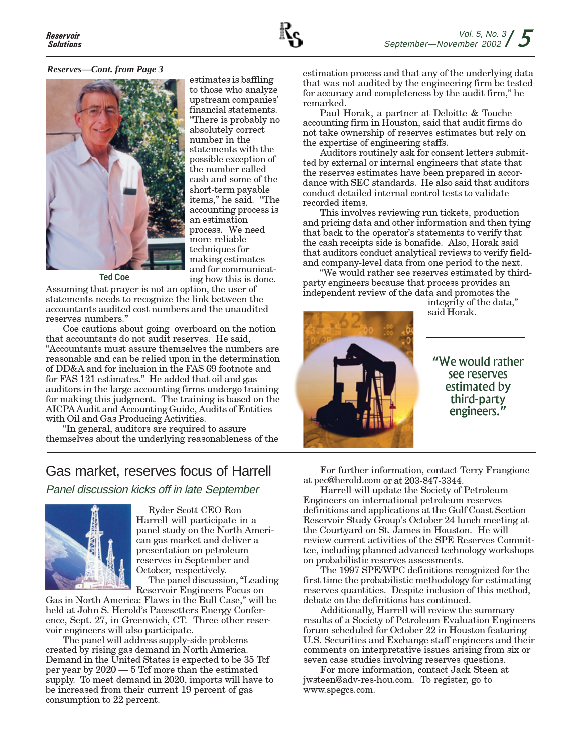#### *Reserves—Cont. from Page 3*



estimates is baffling to those who analyze upstream companies' financial statements. "There is probably no absolutely correct number in the statements with the possible exception of the number called cash and some of the short-term payable items," he said. "The accounting process is an estimation process. We need more reliable techniques for making estimates and for communicating how this is done.

**Ted Coe**

Assuming that prayer is not an option, the user of statements needs to recognize the link between the accountants audited cost numbers and the unaudited reserves numbers."

Coe cautions about going overboard on the notion that accountants do not audit reserves. He said, "Accountants must assure themselves the numbers are reasonable and can be relied upon in the determination of DD&A and for inclusion in the FAS 69 footnote and for FAS 121 estimates." He added that oil and gas auditors in the large accounting firms undergo training for making this judgment. The training is based on the AICPA Audit and Accounting Guide, Audits of Entities with Oil and Gas Producing Activities.

"In general, auditors are required to assure themselves about the underlying reasonableness of the

## Gas market, reserves focus of Harrell

Panel discussion kicks off in late September



Ryder Scott CEO Ron Harrell will participate in a panel study on the North American gas market and deliver a presentation on petroleum reserves in September and October, respectively.

The panel discussion, "Leading Reservoir Engineers Focus on

Gas in North America: Flaws in the Bull Case," will be held at John S. Herold's Pacesetters Energy Conference, Sept. 27, in Greenwich, CT. Three other reservoir engineers will also participate.

The panel will address supply-side problems created by rising gas demand in North America. Demand in the United States is expected to be 35 Tcf per year by 2020 — 5 Tcf more than the estimated supply. To meet demand in 2020, imports will have to be increased from their current 19 percent of gas consumption to 22 percent.

estimation process and that any of the underlying data that was not audited by the engineering firm be tested for accuracy and completeness by the audit firm," he remarked.

Paul Horak, a partner at Deloitte & Touche accounting firm in Houston, said that audit firms do not take ownership of reserves estimates but rely on the expertise of engineering staffs.

Auditors routinely ask for consent letters submitted by external or internal engineers that state that the reserves estimates have been prepared in accordance with SEC standards. He also said that auditors conduct detailed internal control tests to validate recorded items.

This involves reviewing run tickets, production and pricing data and other information and then tying that back to the operator's statements to verify that the cash receipts side is bonafide. Also, Horak said that auditors conduct analytical reviews to verify fieldand company-level data from one period to the next.

"We would rather see reserves estimated by thirdparty engineers because that process provides an independent review of the data and promotes the



integrity of the data," said Horak.

"We would rather see reserves estimated by third-party engineers."

For further information, contact Terry Frangione at pec@herold.com or at 203-847-3344.

Harrell will update the Society of Petroleum Engineers on international petroleum reserves definitions and applications at the Gulf Coast Section Reservoir Study Group's October 24 lunch meeting at the Courtyard on St. James in Houston. He will review current activities of the SPE Reserves Committee, including planned advanced technology workshops on probabilistic reserves assessments.

The 1997 SPE/WPC definitions recognized for the first time the probabilistic methodology for estimating reserves quantities. Despite inclusion of this method, debate on the definitions has continued.

Additionally, Harrell will review the summary results of a Society of Petroleum Evaluation Engineers forum scheduled for October 22 in Houston featuring U.S. Securities and Exchange staff engineers and their comments on interpretative issues arising from six or seven case studies involving reserves questions.

For more information, contact Jack Steen at jwsteen@adv-res-hou.com. To register, go to www.spegcs.com.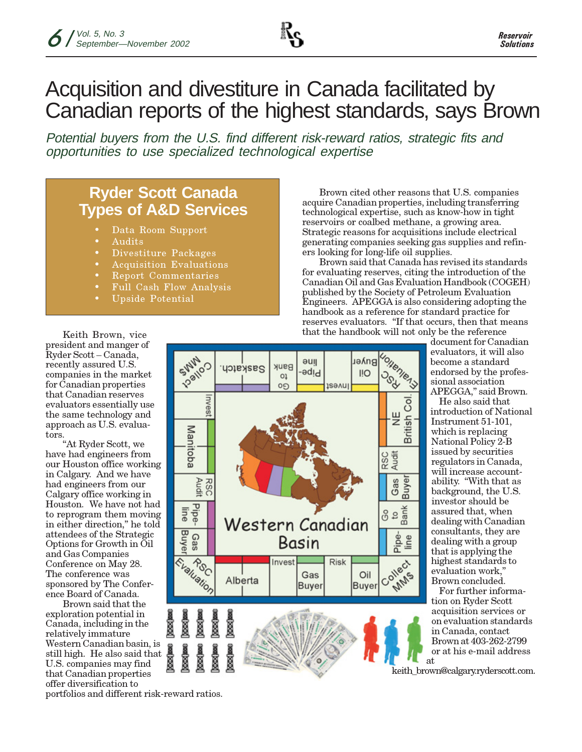

## Acquisition and divestiture in Canada facilitated by Canadian reports of the highest standards, says Brown

Potential buyers from the U.S. find different risk-reward ratios, strategic fits and opportunities to use specialized technological expertise

## **Ryder Scott Canada Types of A&D Services**

- **•** Data Room Support
- **•** Audits
- **•** Divestiture Packages
- **•** Acquisition Evaluations
- **•** Report Commentaries
- **•** Full Cash Flow Analysis
- **•** Upside Potential

Brown cited other reasons that U.S. companies acquire Canadian properties, including transferring technological expertise, such as know-how in tight reservoirs or coalbed methane, a growing area. Strategic reasons for acquisitions include electrical generating companies seeking gas supplies and refiners looking for long-life oil supplies.

Brown said that Canada has revised its standards for evaluating reserves, citing the introduction of the Canadian Oil and Gas Evaluation Handbook (COGEH) published by the Society of Petroleum Evaluation Engineers. APEGGA is also considering adopting the handbook as a reference for standard practice for reserves evaluators. "If that occurs, then that means that the handbook will not only be the reference

**British Col** 

Collect of

**PMMS** 



Basin

Gas

**Buyer** 

**Risk** 

Oil

**Buyer** 

Invest

Alberta

document for Canadian evaluators, it will also become a standard endorsed by the professional association APEGGA," said Brown.

He also said that introduction of National Instrument 51-101, which is replacing National Policy 2-B issued by securities regulators in Canada, will increase accountability. "With that as background, the U.S. investor should be assured that, when dealing with Canadian consultants, they are dealing with a group that is applying the highest standards to evaluation work, Brown concluded.

For further information on Ryder Scott acquisition services or on evaluation standards in Canada, contact Brown at 403-262-2799 or at his e-mail address at

keith\_brown@calgary.ryderscott.com.

Keith Brown, vice president and manger of Ryder Scott – Canada, recently assured U.S. companies in the market for Canadian properties that Canadian reserves evaluators essentially use the same technology and approach as U.S. evaluators.

"At Ryder Scott, we have had engineers from our Houston office working in Calgary. And we have had engineers from our Calgary office working in Houston. We have not had to reprogram them moving in either direction," he told attendees of the Strategic Options for Growth in Oil and Gas Companies Conference on May 28. The conference was sponsored by The Conference Board of Canada.

Brown said that the exploration potential in Canada, including in the relatively immature Western Canadian basin, is still high. He also said that U.S. companies may find that Canadian properties offer diversification to

portfolios and different risk-reward ratios.

Evaluation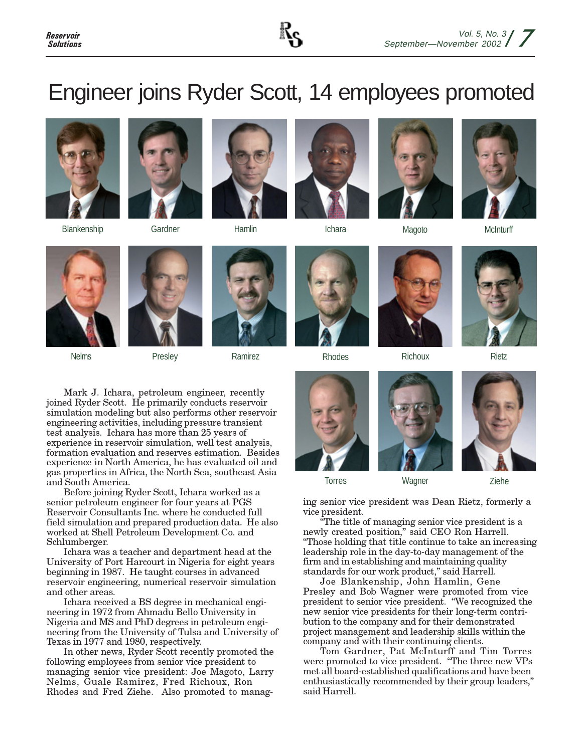

# Engineer joins Ryder Scott, 14 employees promoted





Blankenship Gardner Hamlin Ichara Magoto McInturff















Nelms **Ramirez Ramirez Ramires** Rhodes Richoux Richoux Rietz







Mark J. Ichara, petroleum engineer, recently joined Ryder Scott. He primarily conducts reservoir simulation modeling but also performs other reservoir engineering activities, including pressure transient test analysis. Ichara has more than 25 years of experience in reservoir simulation, well test analysis, formation evaluation and reserves estimation. Besides experience in North America, he has evaluated oil and gas properties in Africa, the North Sea, southeast Asia and South America.

Before joining Ryder Scott, Ichara worked as a senior petroleum engineer for four years at PGS Reservoir Consultants Inc. where he conducted full field simulation and prepared production data. He also worked at Shell Petroleum Development Co. and Schlumberger.

Ichara was a teacher and department head at the University of Port Harcourt in Nigeria for eight years beginning in 1987. He taught courses in advanced reservoir engineering, numerical reservoir simulation and other areas.

Ichara received a BS degree in mechanical engineering in 1972 from Ahmadu Bello University in Nigeria and MS and PhD degrees in petroleum engineering from the University of Tulsa and University of Texas in 1977 and 1980, respectively.

In other news, Ryder Scott recently promoted the following employees from senior vice president to managing senior vice president: Joe Magoto, Larry Nelms, Guale Ramirez, Fred Richoux, Ron Rhodes and Fred Ziehe. Also promoted to manag-









ing senior vice president was Dean Rietz, formerly a vice president.

"The title of managing senior vice president is a newly created position," said CEO Ron Harrell. "Those holding that title continue to take an increasing leadership role in the day-to-day management of the firm and in establishing and maintaining quality standards for our work product," said Harrell.

Joe Blankenship, John Hamlin, Gene Presley and Bob Wagner were promoted from vice president to senior vice president. "We recognized the new senior vice presidents for their long-term contribution to the company and for their demonstrated project management and leadership skills within the company and with their continuing clients.

Tom Gardner, Pat McInturff and Tim Torres were promoted to vice president. "The three new VPs met all board-established qualifications and have been enthusiastically recommended by their group leaders," said Harrell.